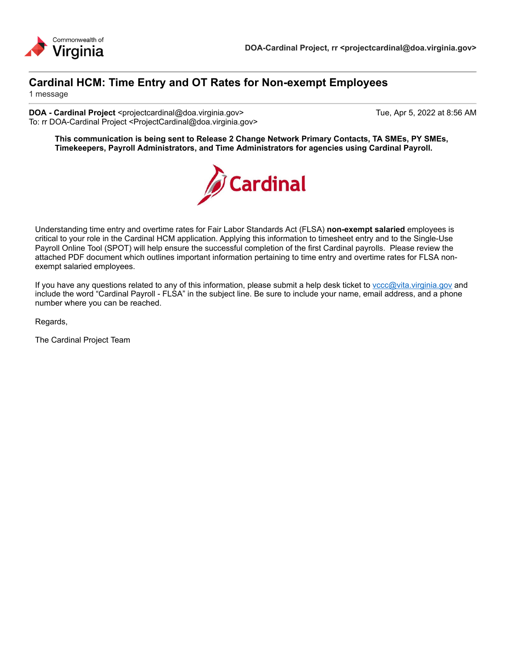

### **Cardinal HCM: Time Entry and OT Rates for Non-exempt Employees**

1 message

**DOA - Cardinal Project** <projectcardinal@doa.virginia.gov> Tue, Apr 5, 2022 at 8:56 AM To: rr DOA-Cardinal Project <ProjectCardinal@doa.virginia.gov>

**This communication is being sent to Release 2 Change Network Primary Contacts, TA SMEs, PY SMEs, Timekeepers, Payroll Administrators, and Time Administrators for agencies using Cardinal Payroll.**



Understanding time entry and overtime rates for Fair Labor Standards Act (FLSA) **non-exempt salaried** employees is critical to your role in the Cardinal HCM application. Applying this information to timesheet entry and to the Single-Use Payroll Online Tool (SPOT) will help ensure the successful completion of the first Cardinal payrolls. Please review the attached PDF document which outlines important information pertaining to time entry and overtime rates for FLSA nonexempt salaried employees.

If you have any questions related to any of this information, please submit a help desk ticket to vccc@vita.virginia.gov and include the word "Cardinal Payroll - FLSA" in the subject line. Be sure to include your name, email address, and a phone number where you can be reached.

Regards,

The Cardinal Project Team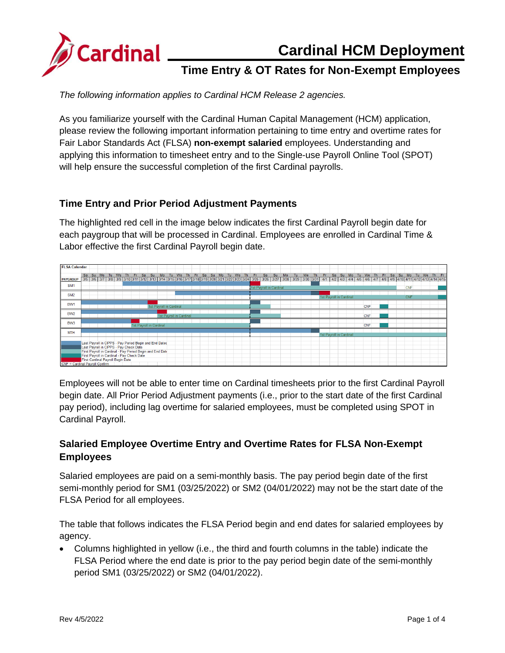

### **Cardinal HCM Deployment**

# **Time Entry & OT Rates for Non-Exempt Employees**

*The following information applies to Cardinal HCM Release 2 agencies.*

As you familiarize yourself with the Cardinal Human Capital Management (HCM) application, please review the following important information pertaining to time entry and overtime rates for Fair Labor Standards Act (FLSA) **non-exempt salaried** employees. Understanding and applying this information to timesheet entry and to the Single-use Payroll Online Tool (SPOT) will help ensure the successful completion of the first Cardinal payrolls.

#### **Time Entry and Prior Period Adjustment Payments**

The highlighted red cell in the image below indicates the first Cardinal Payroll begin date for each paygroup that will be processed in Cardinal. Employees are enrolled in Cardinal Time & Labor effective the first Cardinal Payroll begin date.

| <b>FLSA Calendar</b> |                                                                                                     |    |  |  |                                            |     |     |    |                                                        |    |    |                         |    |     |    |       |    |    |           |    |                                                                                                                                                                                                                      |    |    |    |    |           |     |                         |    |    |    |            |     |     |    |    |            |    |    |     |      |
|----------------------|-----------------------------------------------------------------------------------------------------|----|--|--|--------------------------------------------|-----|-----|----|--------------------------------------------------------|----|----|-------------------------|----|-----|----|-------|----|----|-----------|----|----------------------------------------------------------------------------------------------------------------------------------------------------------------------------------------------------------------------|----|----|----|----|-----------|-----|-------------------------|----|----|----|------------|-----|-----|----|----|------------|----|----|-----|------|
|                      | <b>Sa</b>                                                                                           | Su |  |  | Mo Tu We                                   | Th. | -Fr | Sa | Su                                                     | Mo | Tu | We                      | Th | Fr. | Sa | Su Mo | Tu | We | <b>Th</b> | Fr | Sa                                                                                                                                                                                                                   | Su | Mo | Tu | We | <b>Th</b> | Fr. | Sa                      | Su | Mo | Tu | We         | Th. | Fr. | Sa | Su | Mo         | Tu | We | Th. | - Fr |
| <b>PAYGROUP</b>      |                                                                                                     |    |  |  |                                            |     |     |    |                                                        |    |    |                         |    |     |    |       |    |    |           |    | 3/5 3/6 3/7 3/8 3/9 3/10 3/11 3/12 3/13 3/14 3/15 3/16 3/17 3/18 3/19 3/20 3/21 3/22 3/23 3/24 3/25 3/26 3/27 3/28 3/29 3/30 3/31 4/1 4/2 4/3 4/4 4/5 4/7 4/8 4/4 4/5 4/6 4/7 4/8 4/10 4/11 4/12 4/13 4/13 4/14 4/15 |    |    |    |    |           |     |                         |    |    |    |            |     |     |    |    |            |    |    |     |      |
| SM <sub>1</sub>      |                                                                                                     |    |  |  |                                            |     |     |    |                                                        |    |    |                         |    |     |    |       |    |    |           |    | 1st Payroll in Cardinal                                                                                                                                                                                              |    |    |    |    |           |     |                         |    |    |    |            |     |     |    |    | <b>CNF</b> |    |    |     |      |
|                      |                                                                                                     |    |  |  |                                            |     |     |    |                                                        |    |    |                         |    |     |    |       |    |    |           |    |                                                                                                                                                                                                                      |    |    |    |    |           |     |                         |    |    |    |            |     |     |    |    |            |    |    |     |      |
| SM <sub>2</sub>      |                                                                                                     |    |  |  |                                            |     |     |    |                                                        |    |    |                         |    |     |    |       |    |    |           |    |                                                                                                                                                                                                                      |    |    |    |    |           |     | 1st Payroll in Cardinal |    |    |    |            |     |     |    |    | CNF        |    |    |     |      |
|                      |                                                                                                     |    |  |  |                                            |     |     |    |                                                        |    |    |                         |    |     |    |       |    |    |           |    |                                                                                                                                                                                                                      |    |    |    |    |           |     |                         |    |    |    |            |     |     |    |    |            |    |    |     |      |
| BW <sub>1</sub>      |                                                                                                     |    |  |  |                                            |     |     |    | 1st Pavroll in Cardinal                                |    |    |                         |    |     |    |       |    |    |           |    |                                                                                                                                                                                                                      |    |    |    |    |           |     |                         |    |    |    | <b>CNF</b> |     |     |    |    |            |    |    |     |      |
|                      |                                                                                                     |    |  |  |                                            |     |     |    |                                                        |    |    |                         |    |     |    |       |    |    |           |    |                                                                                                                                                                                                                      |    |    |    |    |           |     |                         |    |    |    |            |     |     |    |    |            |    |    |     |      |
| BW <sub>2</sub>      |                                                                                                     |    |  |  |                                            |     |     |    |                                                        |    |    | 1st Payroll in Cardinal |    |     |    |       |    |    |           |    |                                                                                                                                                                                                                      |    |    |    |    |           |     |                         |    |    |    | <b>CNF</b> |     |     |    |    |            |    |    |     |      |
| BW3                  |                                                                                                     |    |  |  |                                            |     |     |    |                                                        |    |    |                         |    |     |    |       |    |    |           |    |                                                                                                                                                                                                                      |    |    |    |    |           |     |                         |    |    |    |            |     |     |    |    |            |    |    |     |      |
|                      |                                                                                                     |    |  |  |                                            |     |     |    | 1st Payroll in Cardinal                                |    |    |                         |    |     |    |       |    |    |           |    |                                                                                                                                                                                                                      |    |    |    |    |           |     |                         |    |    |    | <b>CNF</b> |     |     |    |    |            |    |    |     |      |
| <b>MTH</b>           |                                                                                                     |    |  |  |                                            |     |     |    |                                                        |    |    |                         |    |     |    |       |    |    |           |    |                                                                                                                                                                                                                      |    |    |    |    |           |     |                         |    |    |    |            |     |     |    |    |            |    |    |     |      |
|                      |                                                                                                     |    |  |  |                                            |     |     |    |                                                        |    |    |                         |    |     |    |       |    |    |           |    |                                                                                                                                                                                                                      |    |    |    |    |           |     | 1st Payroll in Cardinal |    |    |    |            |     |     |    |    |            |    |    |     |      |
|                      |                                                                                                     |    |  |  |                                            |     |     |    |                                                        |    |    |                         |    |     |    |       |    |    |           |    |                                                                                                                                                                                                                      |    |    |    |    |           |     |                         |    |    |    |            |     |     |    |    |            |    |    |     |      |
|                      |                                                                                                     |    |  |  |                                            |     |     |    | Last Payroll in CIPPS - Pay Period Begin and End Dates |    |    |                         |    |     |    |       |    |    |           |    |                                                                                                                                                                                                                      |    |    |    |    |           |     |                         |    |    |    |            |     |     |    |    |            |    |    |     |      |
|                      | Last Payroll in CIPPS - Pay Check Date<br>First Payroll in Cardinal - Pay Period Begin and End Date |    |  |  |                                            |     |     |    |                                                        |    |    |                         |    |     |    |       |    |    |           |    |                                                                                                                                                                                                                      |    |    |    |    |           |     |                         |    |    |    |            |     |     |    |    |            |    |    |     |      |
|                      |                                                                                                     |    |  |  | First Payroll in Cardinal - Pay Check Date |     |     |    |                                                        |    |    |                         |    |     |    |       |    |    |           |    |                                                                                                                                                                                                                      |    |    |    |    |           |     |                         |    |    |    |            |     |     |    |    |            |    |    |     |      |
|                      |                                                                                                     |    |  |  |                                            |     |     |    |                                                        |    |    |                         |    |     |    |       |    |    |           |    |                                                                                                                                                                                                                      |    |    |    |    |           |     |                         |    |    |    |            |     |     |    |    |            |    |    |     |      |
|                      | First Cardinal Payroll Begin Date<br>CNF = Cardinal Payroll Confirm                                 |    |  |  |                                            |     |     |    |                                                        |    |    |                         |    |     |    |       |    |    |           |    |                                                                                                                                                                                                                      |    |    |    |    |           |     |                         |    |    |    |            |     |     |    |    |            |    |    |     |      |

Employees will not be able to enter time on Cardinal timesheets prior to the first Cardinal Payroll begin date. All Prior Period Adjustment payments (i.e., prior to the start date of the first Cardinal pay period), including lag overtime for salaried employees, must be completed using SPOT in Cardinal Payroll.

#### **Salaried Employee Overtime Entry and Overtime Rates for FLSA Non-Exempt Employees**

Salaried employees are paid on a semi-monthly basis. The pay period begin date of the first semi-monthly period for SM1 (03/25/2022) or SM2 (04/01/2022) may not be the start date of the FLSA Period for all employees.

The table that follows indicates the FLSA Period begin and end dates for salaried employees by agency.

• Columns highlighted in yellow (i.e., the third and fourth columns in the table) indicate the FLSA Period where the end date is prior to the pay period begin date of the semi-monthly period SM1 (03/25/2022) or SM2 (04/01/2022).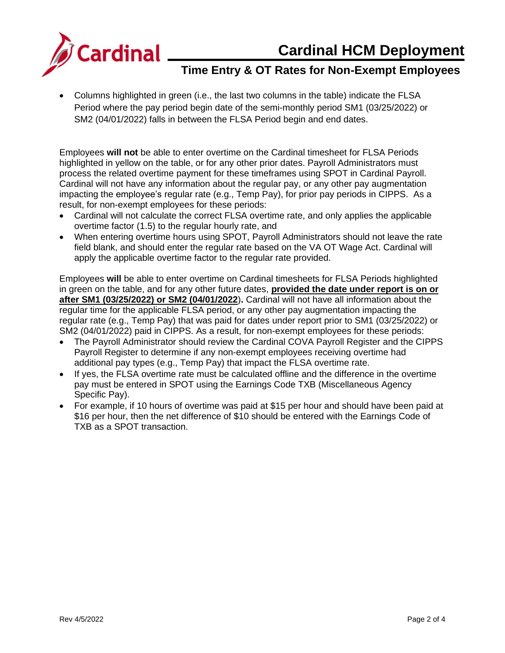**Cardinal HCM Deployment** 



# **Time Entry & OT Rates for Non-Exempt Employees**

• Columns highlighted in green (i.e., the last two columns in the table) indicate the FLSA Period where the pay period begin date of the semi-monthly period SM1 (03/25/2022) or SM2 (04/01/2022) falls in between the FLSA Period begin and end dates.

Employees **will not** be able to enter overtime on the Cardinal timesheet for FLSA Periods highlighted in yellow on the table, or for any other prior dates. Payroll Administrators must process the related overtime payment for these timeframes using SPOT in Cardinal Payroll. Cardinal will not have any information about the regular pay, or any other pay augmentation impacting the employee's regular rate (e.g., Temp Pay), for prior pay periods in CIPPS. As a result, for non-exempt employees for these periods:

- Cardinal will not calculate the correct FLSA overtime rate, and only applies the applicable overtime factor (1.5) to the regular hourly rate, and
- When entering overtime hours using SPOT, Payroll Administrators should not leave the rate field blank, and should enter the regular rate based on the VA OT Wage Act. Cardinal will apply the applicable overtime factor to the regular rate provided.

Employees **will** be able to enter overtime on Cardinal timesheets for FLSA Periods highlighted in green on the table, and for any other future dates, **provided the date under report is on or after SM1 (03/25/2022) or SM2 (04/01/2022**)**.** Cardinal will not have all information about the regular time for the applicable FLSA period, or any other pay augmentation impacting the regular rate (e.g., Temp Pay) that was paid for dates under report prior to SM1 (03/25/2022) or SM2 (04/01/2022) paid in CIPPS. As a result, for non-exempt employees for these periods:

- The Payroll Administrator should review the Cardinal COVA Payroll Register and the CIPPS Payroll Register to determine if any non-exempt employees receiving overtime had additional pay types (e.g., Temp Pay) that impact the FLSA overtime rate.
- If yes, the FLSA overtime rate must be calculated offline and the difference in the overtime pay must be entered in SPOT using the Earnings Code TXB (Miscellaneous Agency Specific Pay).
- For example, if 10 hours of overtime was paid at \$15 per hour and should have been paid at \$16 per hour, then the net difference of \$10 should be entered with the Earnings Code of TXB as a SPOT transaction.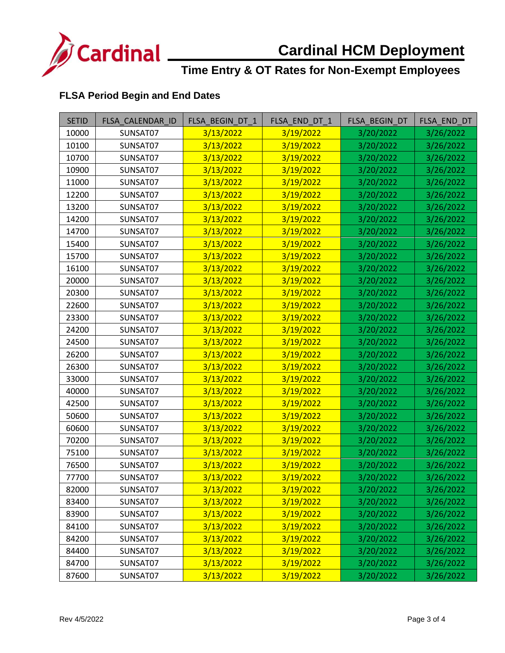

# **Cardinal HCM Deployment**

## **Time Entry & OT Rates for Non-Exempt Employees**

#### **FLSA Period Begin and End Dates**

| <b>SETID</b> | FLSA_CALENDAR_ID | FLSA BEGIN DT 1 | FLSA_END_DT_1 | FLSA_BEGIN_DT | FLSA_END_DT |
|--------------|------------------|-----------------|---------------|---------------|-------------|
| 10000        | SUNSAT07         | 3/13/2022       | 3/19/2022     | 3/20/2022     | 3/26/2022   |
| 10100        | SUNSAT07         | 3/13/2022       | 3/19/2022     | 3/20/2022     | 3/26/2022   |
| 10700        | SUNSAT07         | 3/13/2022       | 3/19/2022     | 3/20/2022     | 3/26/2022   |
| 10900        | SUNSAT07         | 3/13/2022       | 3/19/2022     | 3/20/2022     | 3/26/2022   |
| 11000        | SUNSAT07         | 3/13/2022       | 3/19/2022     | 3/20/2022     | 3/26/2022   |
| 12200        | SUNSAT07         | 3/13/2022       | 3/19/2022     | 3/20/2022     | 3/26/2022   |
| 13200        | SUNSAT07         | 3/13/2022       | 3/19/2022     | 3/20/2022     | 3/26/2022   |
| 14200        | SUNSAT07         | 3/13/2022       | 3/19/2022     | 3/20/2022     | 3/26/2022   |
| 14700        | SUNSAT07         | 3/13/2022       | 3/19/2022     | 3/20/2022     | 3/26/2022   |
| 15400        | SUNSAT07         | 3/13/2022       | 3/19/2022     | 3/20/2022     | 3/26/2022   |
| 15700        | SUNSAT07         | 3/13/2022       | 3/19/2022     | 3/20/2022     | 3/26/2022   |
| 16100        | SUNSAT07         | 3/13/2022       | 3/19/2022     | 3/20/2022     | 3/26/2022   |
| 20000        | SUNSAT07         | 3/13/2022       | 3/19/2022     | 3/20/2022     | 3/26/2022   |
| 20300        | SUNSAT07         | 3/13/2022       | 3/19/2022     | 3/20/2022     | 3/26/2022   |
| 22600        | SUNSAT07         | 3/13/2022       | 3/19/2022     | 3/20/2022     | 3/26/2022   |
| 23300        | SUNSAT07         | 3/13/2022       | 3/19/2022     | 3/20/2022     | 3/26/2022   |
| 24200        | SUNSAT07         | 3/13/2022       | 3/19/2022     | 3/20/2022     | 3/26/2022   |
| 24500        | SUNSAT07         | 3/13/2022       | 3/19/2022     | 3/20/2022     | 3/26/2022   |
| 26200        | SUNSAT07         | 3/13/2022       | 3/19/2022     | 3/20/2022     | 3/26/2022   |
| 26300        | SUNSAT07         | 3/13/2022       | 3/19/2022     | 3/20/2022     | 3/26/2022   |
| 33000        | SUNSAT07         | 3/13/2022       | 3/19/2022     | 3/20/2022     | 3/26/2022   |
| 40000        | SUNSAT07         | 3/13/2022       | 3/19/2022     | 3/20/2022     | 3/26/2022   |
| 42500        | SUNSAT07         | 3/13/2022       | 3/19/2022     | 3/20/2022     | 3/26/2022   |
| 50600        | SUNSAT07         | 3/13/2022       | 3/19/2022     | 3/20/2022     | 3/26/2022   |
| 60600        | SUNSAT07         | 3/13/2022       | 3/19/2022     | 3/20/2022     | 3/26/2022   |
| 70200        | SUNSAT07         | 3/13/2022       | 3/19/2022     | 3/20/2022     | 3/26/2022   |
| 75100        | SUNSAT07         | 3/13/2022       | 3/19/2022     | 3/20/2022     | 3/26/2022   |
| 76500        | SUNSAT07         | 3/13/2022       | 3/19/2022     | 3/20/2022     | 3/26/2022   |
| 77700        | SUNSAT07         | 3/13/2022       | 3/19/2022     | 3/20/2022     | 3/26/2022   |
| 82000        | SUNSAT07         | 3/13/2022       | 3/19/2022     | 3/20/2022     | 3/26/2022   |
| 83400        | SUNSAT07         | 3/13/2022       | 3/19/2022     | 3/20/2022     | 3/26/2022   |
| 83900        | SUNSAT07         | 3/13/2022       | 3/19/2022     | 3/20/2022     | 3/26/2022   |
| 84100        | SUNSAT07         | 3/13/2022       | 3/19/2022     | 3/20/2022     | 3/26/2022   |
| 84200        | SUNSAT07         | 3/13/2022       | 3/19/2022     | 3/20/2022     | 3/26/2022   |
| 84400        | SUNSAT07         | 3/13/2022       | 3/19/2022     | 3/20/2022     | 3/26/2022   |
| 84700        | SUNSAT07         | 3/13/2022       | 3/19/2022     | 3/20/2022     | 3/26/2022   |
| 87600        | SUNSAT07         | 3/13/2022       | 3/19/2022     | 3/20/2022     | 3/26/2022   |